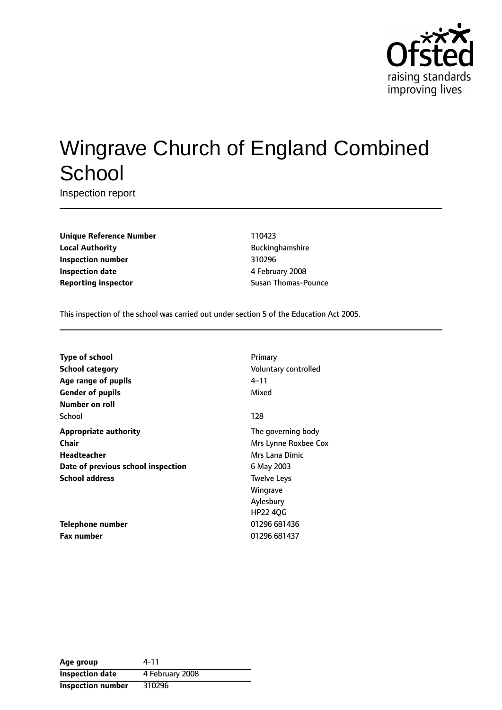

# Wingrave Church of England Combined **School**

Inspection report

**Unique Reference Number** 110423 **Local Authority Buckinghamshire Inspection number** 310296 **Inspection date** 4 February 2008 **Reporting inspector Susan Thomas-Pounce** 

This inspection of the school was carried out under section 5 of the Education Act 2005.

| <b>Type of school</b>              | Primary              |
|------------------------------------|----------------------|
| School category                    | Voluntary controlled |
| Age range of pupils                | 4–11                 |
| <b>Gender of pupils</b>            | Mixed                |
| Number on roll                     |                      |
| School                             | 128                  |
| <b>Appropriate authority</b>       | The governing body   |
| Chair                              | Mrs Lynne Roxbee Cox |
| <b>Headteacher</b>                 | Mrs Lana Dimic       |
| Date of previous school inspection | 6 May 2003           |
| <b>School address</b>              | <b>Twelve Leys</b>   |
|                                    | Wingrave             |
|                                    | Aylesbury            |
|                                    | <b>HP22 40G</b>      |
| Telephone number                   | 01296 681436         |
| <b>Fax number</b>                  | 01296 681437         |

| Age group                | 4-11            |
|--------------------------|-----------------|
| <b>Inspection date</b>   | 4 February 2008 |
| <b>Inspection number</b> | 310296          |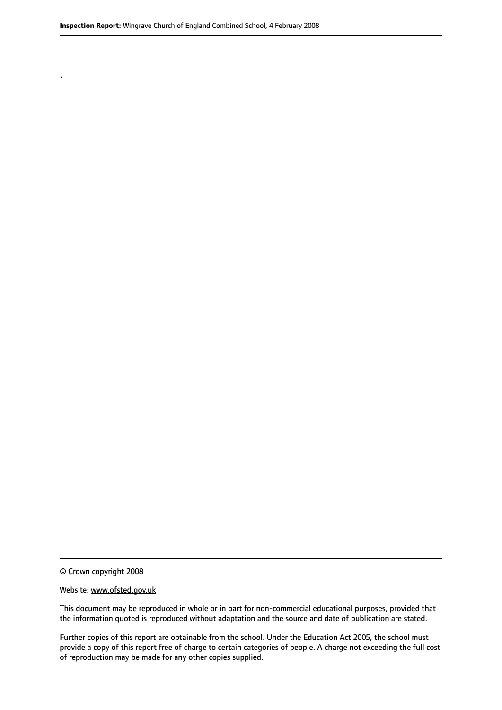.

© Crown copyright 2008

#### Website: www.ofsted.gov.uk

This document may be reproduced in whole or in part for non-commercial educational purposes, provided that the information quoted is reproduced without adaptation and the source and date of publication are stated.

Further copies of this report are obtainable from the school. Under the Education Act 2005, the school must provide a copy of this report free of charge to certain categories of people. A charge not exceeding the full cost of reproduction may be made for any other copies supplied.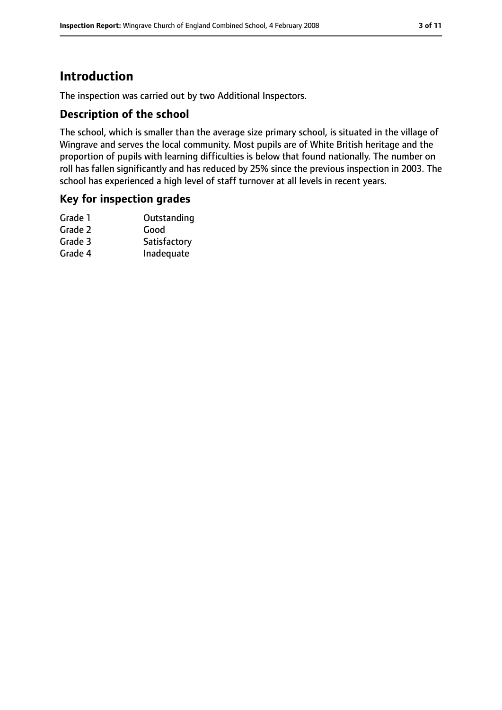### **Introduction**

The inspection was carried out by two Additional Inspectors.

#### **Description of the school**

The school, which is smaller than the average size primary school, is situated in the village of Wingrave and serves the local community. Most pupils are of White British heritage and the proportion of pupils with learning difficulties is below that found nationally. The number on roll has fallen significantly and has reduced by 25% since the previous inspection in 2003. The school has experienced a high level of staff turnover at all levels in recent years.

#### **Key for inspection grades**

| Outstanding  |
|--------------|
| Good         |
| Satisfactory |
| Inadequate   |
|              |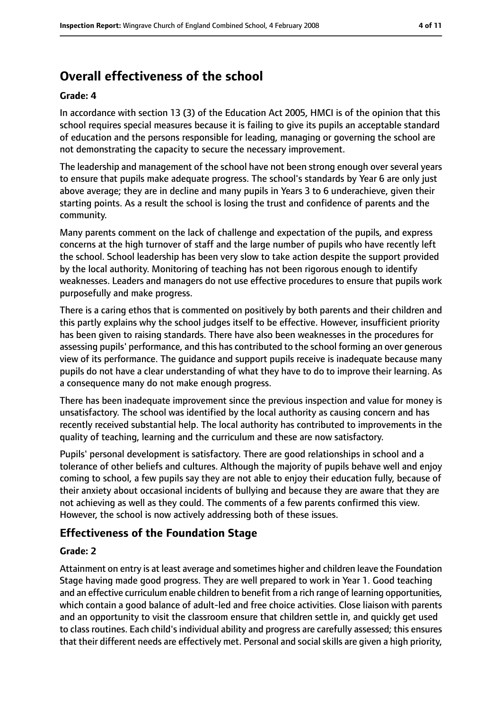## **Overall effectiveness of the school**

#### **Grade: 4**

In accordance with section 13 (3) of the Education Act 2005, HMCI is of the opinion that this school requires special measures because it is failing to give its pupils an acceptable standard of education and the persons responsible for leading, managing or governing the school are not demonstrating the capacity to secure the necessary improvement.

The leadership and management of the school have not been strong enough over several years to ensure that pupils make adequate progress. The school's standards by Year 6 are only just above average; they are in decline and many pupils in Years 3 to 6 underachieve, given their starting points. As a result the school is losing the trust and confidence of parents and the community.

Many parents comment on the lack of challenge and expectation of the pupils, and express concerns at the high turnover of staff and the large number of pupils who have recently left the school. School leadership has been very slow to take action despite the support provided by the local authority. Monitoring of teaching has not been rigorous enough to identify weaknesses. Leaders and managers do not use effective procedures to ensure that pupils work purposefully and make progress.

There is a caring ethos that is commented on positively by both parents and their children and this partly explains why the school judges itself to be effective. However, insufficient priority has been given to raising standards. There have also been weaknesses in the procedures for assessing pupils' performance, and this has contributed to the school forming an over generous view of its performance. The guidance and support pupils receive is inadequate because many pupils do not have a clear understanding of what they have to do to improve their learning. As a consequence many do not make enough progress.

There has been inadequate improvement since the previous inspection and value for money is unsatisfactory. The school was identified by the local authority as causing concern and has recently received substantial help. The local authority has contributed to improvements in the quality of teaching, learning and the curriculum and these are now satisfactory.

Pupils' personal development is satisfactory. There are good relationships in school and a tolerance of other beliefs and cultures. Although the majority of pupils behave well and enjoy coming to school, a few pupils say they are not able to enjoy their education fully, because of their anxiety about occasional incidents of bullying and because they are aware that they are not achieving as well as they could. The comments of a few parents confirmed this view. However, the school is now actively addressing both of these issues.

#### **Effectiveness of the Foundation Stage**

#### **Grade: 2**

Attainment on entry is at least average and sometimes higher and children leave the Foundation Stage having made good progress. They are well prepared to work in Year 1. Good teaching and an effective curriculum enable children to benefit from a rich range of learning opportunities, which contain a good balance of adult-led and free choice activities. Close liaison with parents and an opportunity to visit the classroom ensure that children settle in, and quickly get used to class routines. Each child's individual ability and progress are carefully assessed; this ensures that their different needs are effectively met. Personal and social skills are given a high priority,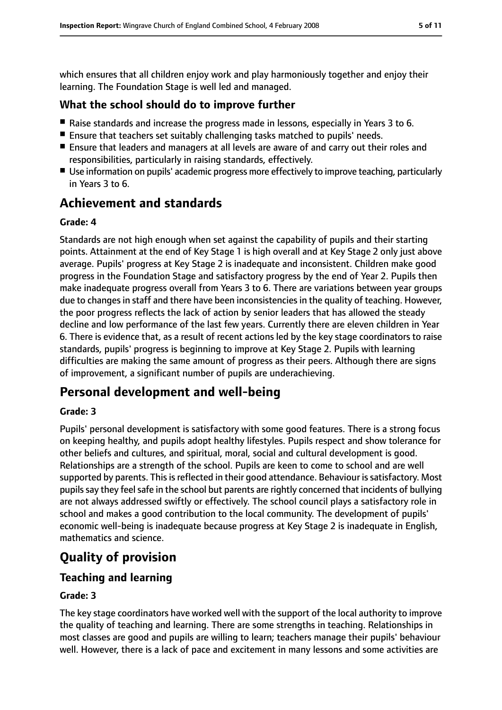which ensures that all children enjoy work and play harmoniously together and enjoy their learning. The Foundation Stage is well led and managed.

#### **What the school should do to improve further**

- Raise standards and increase the progress made in lessons, especially in Years 3 to 6.
- Ensure that teachers set suitably challenging tasks matched to pupils' needs.
- Ensure that leaders and managers at all levels are aware of and carry out their roles and responsibilities, particularly in raising standards, effectively.
- Use information on pupils' academic progress more effectively to improve teaching, particularly in Years 3 to 6.

### **Achievement and standards**

#### **Grade: 4**

Standards are not high enough when set against the capability of pupils and their starting points. Attainment at the end of Key Stage 1 is high overall and at Key Stage 2 only just above average. Pupils' progress at Key Stage 2 is inadequate and inconsistent. Children make good progress in the Foundation Stage and satisfactory progress by the end of Year 2. Pupils then make inadequate progress overall from Years 3 to 6. There are variations between year groups due to changes in staff and there have been inconsistencies in the quality of teaching. However, the poor progress reflects the lack of action by senior leaders that has allowed the steady decline and low performance of the last few years. Currently there are eleven children in Year 6. There is evidence that, as a result of recent actions led by the key stage coordinators to raise standards, pupils' progress is beginning to improve at Key Stage 2. Pupils with learning difficulties are making the same amount of progress as their peers. Although there are signs of improvement, a significant number of pupils are underachieving.

### **Personal development and well-being**

#### **Grade: 3**

Pupils' personal development is satisfactory with some good features. There is a strong focus on keeping healthy, and pupils adopt healthy lifestyles. Pupils respect and show tolerance for other beliefs and cultures, and spiritual, moral, social and cultural development is good. Relationships are a strength of the school. Pupils are keen to come to school and are well supported by parents. This is reflected in their good attendance. Behaviour is satisfactory. Most pupils say they feel safe in the school but parents are rightly concerned that incidents of bullying are not always addressed swiftly or effectively. The school council plays a satisfactory role in school and makes a good contribution to the local community. The development of pupils' economic well-being is inadequate because progress at Key Stage 2 is inadequate in English, mathematics and science.

### **Quality of provision**

#### **Teaching and learning**

#### **Grade: 3**

The key stage coordinators have worked well with the support of the local authority to improve the quality of teaching and learning. There are some strengths in teaching. Relationships in most classes are good and pupils are willing to learn; teachers manage their pupils' behaviour well. However, there is a lack of pace and excitement in many lessons and some activities are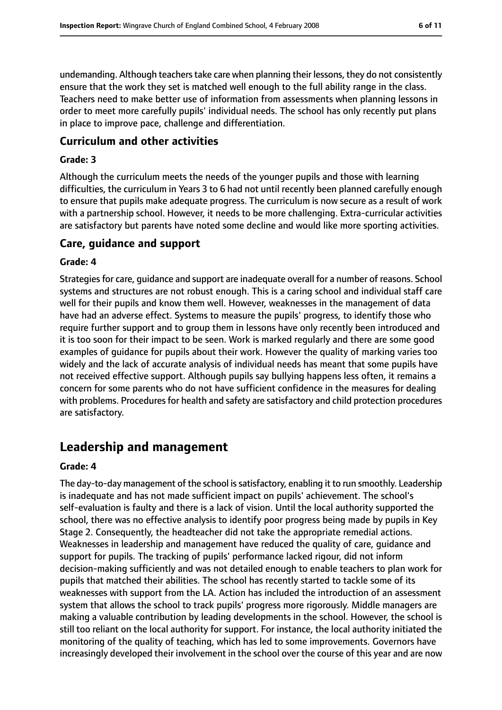undemanding. Although teachers take care when planning their lessons, they do not consistently ensure that the work they set is matched well enough to the full ability range in the class. Teachers need to make better use of information from assessments when planning lessons in order to meet more carefully pupils' individual needs. The school has only recently put plans in place to improve pace, challenge and differentiation.

#### **Curriculum and other activities**

#### **Grade: 3**

Although the curriculum meets the needs of the younger pupils and those with learning difficulties, the curriculum in Years 3 to 6 had not until recently been planned carefully enough to ensure that pupils make adequate progress. The curriculum is now secure as a result of work with a partnership school. However, it needs to be more challenging. Extra-curricular activities are satisfactory but parents have noted some decline and would like more sporting activities.

#### **Care, guidance and support**

#### **Grade: 4**

Strategies for care, guidance and support are inadequate overall for a number of reasons. School systems and structures are not robust enough. This is a caring school and individual staff care well for their pupils and know them well. However, weaknesses in the management of data have had an adverse effect. Systems to measure the pupils' progress, to identify those who require further support and to group them in lessons have only recently been introduced and it is too soon for their impact to be seen. Work is marked regularly and there are some good examples of guidance for pupils about their work. However the quality of marking varies too widely and the lack of accurate analysis of individual needs has meant that some pupils have not received effective support. Although pupils say bullying happens less often, it remains a concern for some parents who do not have sufficient confidence in the measures for dealing with problems. Procedures for health and safety are satisfactory and child protection procedures are satisfactory.

### **Leadership and management**

#### **Grade: 4**

The day-to-day management of the school is satisfactory, enabling it to run smoothly. Leadership is inadequate and has not made sufficient impact on pupils' achievement. The school's self-evaluation is faulty and there is a lack of vision. Until the local authority supported the school, there was no effective analysis to identify poor progress being made by pupils in Key Stage 2. Consequently, the headteacher did not take the appropriate remedial actions. Weaknesses in leadership and management have reduced the quality of care, guidance and support for pupils. The tracking of pupils' performance lacked rigour, did not inform decision-making sufficiently and was not detailed enough to enable teachers to plan work for pupils that matched their abilities. The school has recently started to tackle some of its weaknesses with support from the LA. Action has included the introduction of an assessment system that allows the school to track pupils' progress more rigorously. Middle managers are making a valuable contribution by leading developments in the school. However, the school is still too reliant on the local authority for support. For instance, the local authority initiated the monitoring of the quality of teaching, which has led to some improvements. Governors have increasingly developed their involvement in the school over the course of this year and are now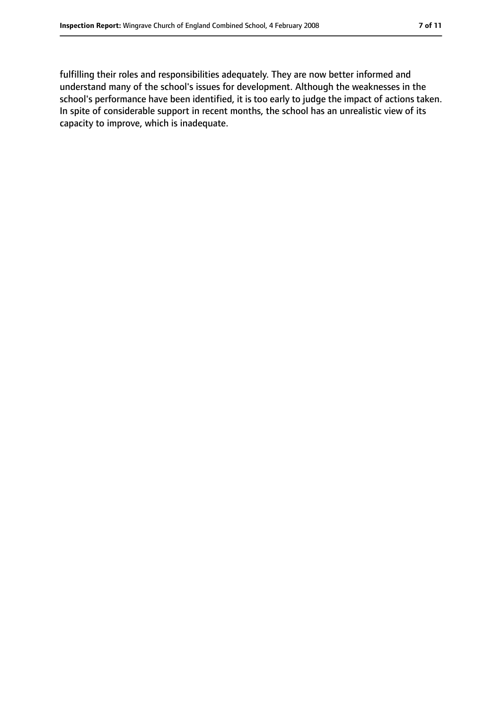fulfilling their roles and responsibilities adequately. They are now better informed and understand many of the school's issues for development. Although the weaknesses in the school's performance have been identified, it is too early to judge the impact of actions taken. In spite of considerable support in recent months, the school has an unrealistic view of its capacity to improve, which is inadequate.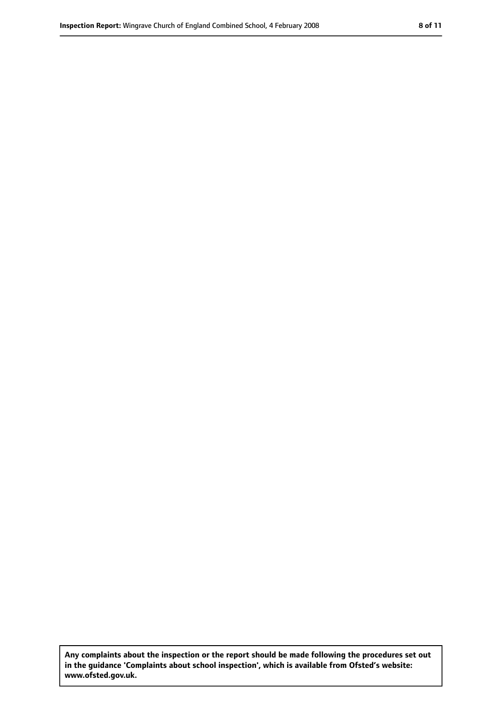**Any complaints about the inspection or the report should be made following the procedures set out in the guidance 'Complaints about school inspection', which is available from Ofsted's website: www.ofsted.gov.uk.**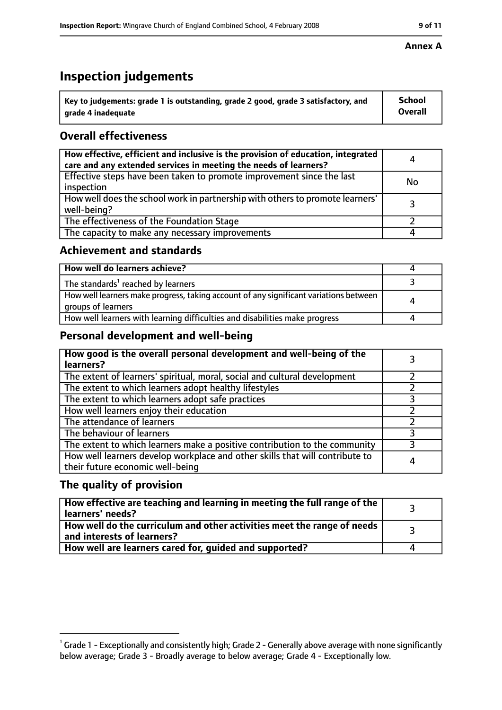### **Inspection judgements**

| $^{\backprime}$ Key to judgements: grade 1 is outstanding, grade 2 good, grade 3 satisfactory, and | School         |
|----------------------------------------------------------------------------------------------------|----------------|
| arade 4 inadequate                                                                                 | <b>Overall</b> |

### **Overall effectiveness**

| How effective, efficient and inclusive is the provision of education, integrated<br>care and any extended services in meeting the needs of learners? | 4         |
|------------------------------------------------------------------------------------------------------------------------------------------------------|-----------|
| Effective steps have been taken to promote improvement since the last<br>inspection                                                                  | <b>No</b> |
| How well does the school work in partnership with others to promote learners'<br>well-being?                                                         |           |
| The effectiveness of the Foundation Stage                                                                                                            |           |
| The capacity to make any necessary improvements                                                                                                      |           |

#### **Achievement and standards**

| How well do learners achieve?                                                                               |  |
|-------------------------------------------------------------------------------------------------------------|--|
| The standards <sup>1</sup> reached by learners                                                              |  |
| How well learners make progress, taking account of any significant variations between<br>groups of learners |  |
| How well learners with learning difficulties and disabilities make progress                                 |  |

#### **Personal development and well-being**

| How good is the overall personal development and well-being of the<br>learners?                                  |  |
|------------------------------------------------------------------------------------------------------------------|--|
| The extent of learners' spiritual, moral, social and cultural development                                        |  |
| The extent to which learners adopt healthy lifestyles                                                            |  |
| The extent to which learners adopt safe practices                                                                |  |
| How well learners enjoy their education                                                                          |  |
| The attendance of learners                                                                                       |  |
| The behaviour of learners                                                                                        |  |
| The extent to which learners make a positive contribution to the community                                       |  |
| How well learners develop workplace and other skills that will contribute to<br>their future economic well-being |  |

#### **The quality of provision**

| How effective are teaching and learning in meeting the full range of the<br>learners' needs?          |  |
|-------------------------------------------------------------------------------------------------------|--|
| How well do the curriculum and other activities meet the range of needs<br>and interests of learners? |  |
| How well are learners cared for, guided and supported?                                                |  |

#### **Annex A**

 $^1$  Grade 1 - Exceptionally and consistently high; Grade 2 - Generally above average with none significantly below average; Grade 3 - Broadly average to below average; Grade 4 - Exceptionally low.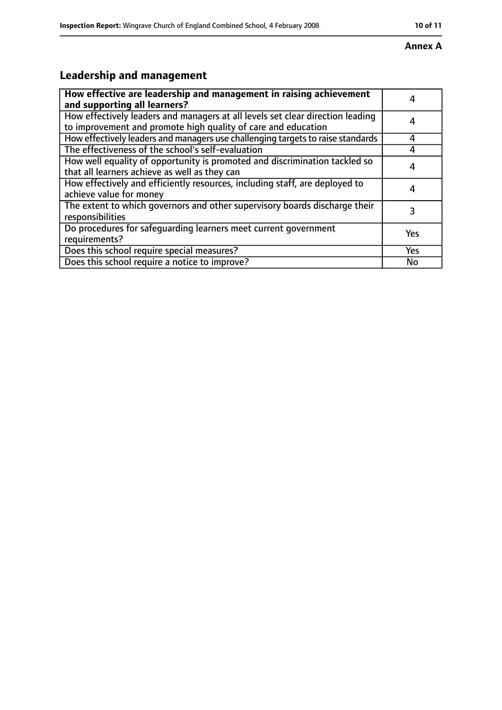#### **Annex A**

### **Leadership and management**

| How effective are leadership and management in raising achievement<br>and supporting all learners?                                              |     |
|-------------------------------------------------------------------------------------------------------------------------------------------------|-----|
| How effectively leaders and managers at all levels set clear direction leading<br>to improvement and promote high quality of care and education |     |
| How effectively leaders and managers use challenging targets to raise standards                                                                 | 4   |
| The effectiveness of the school's self-evaluation                                                                                               |     |
| How well equality of opportunity is promoted and discrimination tackled so<br>that all learners achieve as well as they can                     |     |
| How effectively and efficiently resources, including staff, are deployed to<br>achieve value for money                                          | 4   |
| The extent to which governors and other supervisory boards discharge their<br>responsibilities                                                  | 3   |
| Do procedures for safequarding learners meet current government<br>requirements?                                                                | Yes |
| Does this school require special measures?                                                                                                      | Yes |
| Does this school require a notice to improve?                                                                                                   | No  |